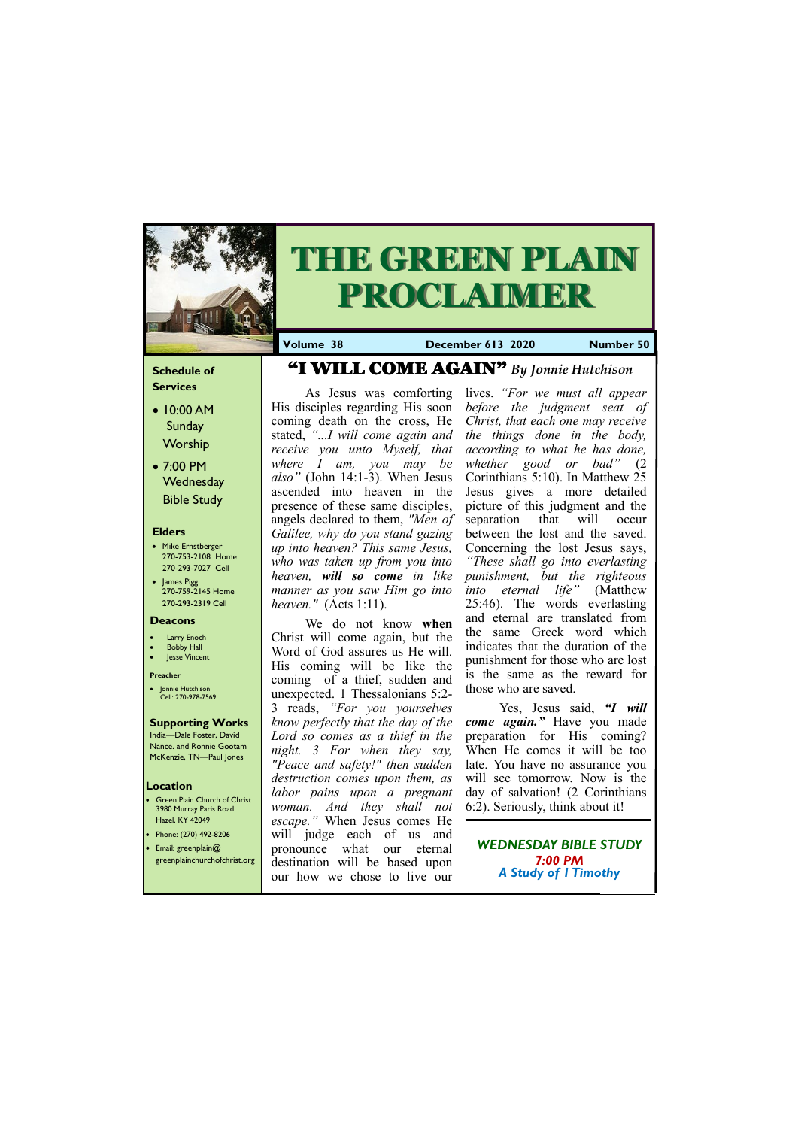### **Schedule of Services**

- 10:00 AM Sunday Worship
- 7:00 PM **Wednesday** Bible Study

### **Elders**

- Mike Ernstberger 270-753-2108 Home 270-293-7027 Cell
- James Pigg 270-759-2145 Home 270-293-2319 Cell

- **Green Plain Church of Christ** 3980 Murray Paris Road Hazel, KY 42049 • Phone: (270) 492-8206
- Email: greenplain@



# **THE GREEN PLAIN PROCLAIMER**

### **Location**

**Volume 38 December 613 2020 Number 50**

### **Deacons**

- **Larry Enoch**
- **Bobby Hall**
- **Jesse Vincent**

### **Preacher**

• Jonnie Hutchison Cell: 270-978-7569

## **Supporting Works**

India—Dale Foster, David Nance. and Ronnie Gootam McKenzie, TN—Paul Jones

As Jesus was comforting His disciples regarding His soon coming death on the cross, He stated, *"...I will come again and receive you unto Myself, that where I am, you may be also"* (John 14:1-3). When Jesus ascended into heaven in the presence of these same disciples, angels declared to them, *"Men of Galilee, why do you stand gazing up into heaven? This same Jesus, who was taken up from you into heaven, will so come in like manner as you saw Him go into heaven."* (Acts 1:11).

We do not know **when**  Christ will come again, but the Word of God assures us He will. His coming will be like the coming of a thief, sudden and unexpected. 1 Thessalonians 5:2- 3 reads, *"For you yourselves know perfectly that the day of the Lord so comes as a thief in the night. 3 For when they say, "Peace and safety!" then sudden destruction comes upon them, as labor pains upon a pregnant woman. And they shall not escape."* When Jesus comes He will judge each of us and pronounce what our eternal

|  | ______________<br>greenplainchurchofchrist.org destination will be based upon<br>our how we chose to live our | $7:00$ PM<br><b>A Study of I Timothy</b> |  |
|--|---------------------------------------------------------------------------------------------------------------|------------------------------------------|--|
|--|---------------------------------------------------------------------------------------------------------------|------------------------------------------|--|

lives. *"For we must all appear before the judgment seat of Christ, that each one may receive the things done in the body, according to what he has done, whether good or bad"* (2 Corinthians 5:10). In Matthew 25 Jesus gives a more detailed picture of this judgment and the separation that will occur between the lost and the saved. Concerning the lost Jesus says, *"These shall go into everlasting punishment, but the righteous into eternal life"* (Matthew 25:46). The words everlasting and eternal are translated from the same Greek word which indicates that the duration of the punishment for those who are lost is the same as the reward for those who are saved.

Yes, Jesus said, *"I will come again."* Have you made preparation for His coming? When He comes it will be too late. You have no assurance you will see tomorrow. Now is the day of salvation! (2 Corinthians 6:2). Seriously, think about it!

# "I WILL COME AGAIN" *By Jonnie Hutchison*

### *WEDNESDAY BIBLE STUDY*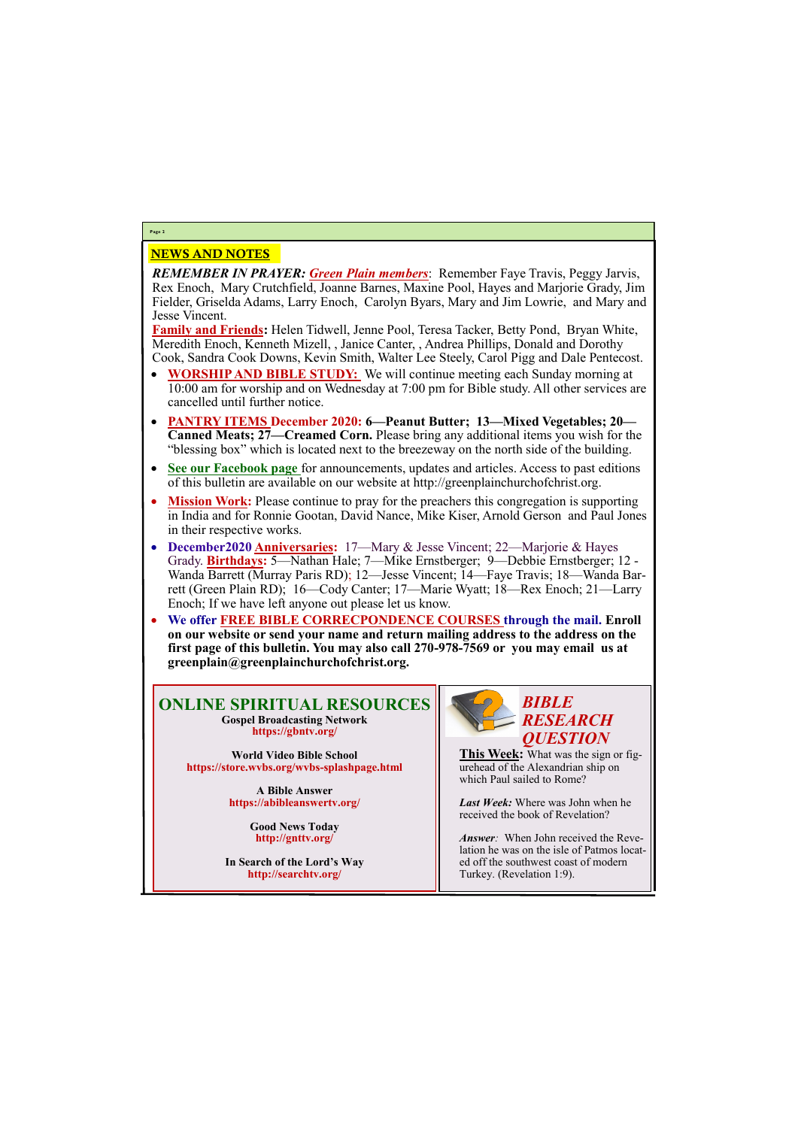## NEWS AND NOTES

*REMEMBER IN PRAYER: Green Plain members*: Remember Faye Travis, Peggy Jarvis, Rex Enoch, Mary Crutchfield, Joanne Barnes, Maxine Pool, Hayes and Marjorie Grady, Jim Fielder, Griselda Adams, Larry Enoch, Carolyn Byars, Mary and Jim Lowrie, and Mary and Jesse Vincent.

**Family and Friends:** Helen Tidwell, Jenne Pool, Teresa Tacker, Betty Pond, Bryan White, Meredith Enoch, Kenneth Mizell, , Janice Canter, , Andrea Phillips, Donald and Dorothy Cook, Sandra Cook Downs, Kevin Smith, Walter Lee Steely, Carol Pigg and Dale Pentecost.

- **WORSHIP AND BIBLE STUDY:** We will continue meeting each Sunday morning at 10:00 am for worship and on Wednesday at 7:00 pm for Bible study. All other services are cancelled until further notice.
- **PANTRY ITEMS December 2020: 6—Peanut Butter; 13—Mixed Vegetables; 20— Canned Meats; 27—Creamed Corn.** Please bring any additional items you wish for the "blessing box" which is located next to the breezeway on the north side of the building.
- **See our Facebook page** for announcements, updates and articles. Access to past editions of this bulletin are available on our website at http://greenplainchurchofchrist.org.
- **Mission Work:** Please continue to pray for the preachers this congregation is supporting in India and for Ronnie Gootan, David Nance, Mike Kiser, Arnold Gerson and Paul Jones in their respective works.
- **December2020 Anniversaries:** 17—Mary & Jesse Vincent; 22—Marjorie & Hayes Grady. **Birthdays:** 5—Nathan Hale; 7—Mike Ernstberger; 9—Debbie Ernstberger; 12 - Wanda Barrett (Murray Paris RD); 12—Jesse Vincent; 14—Faye Travis; 18—Wanda Barrett (Green Plain RD); 16—Cody Canter; 17—Marie Wyatt; 18—Rex Enoch; 21—Larry Enoch; If we have left anyone out please let us know.
- **We offer FREE BIBLE CORRECPONDENCE COURSES through the mail. Enroll on our website or send your name and return mailing address to the address on the first page of this bulletin. You may also call 270-978-7569 or you may email us at greenplain@greenplainchurchofchrist.org.**

### **Page 2**

### **ONLINE SPIRITUAL RESOURCES Gospel Broadcasting Network https://gbntv.org/**

**World Video Bible School https://store.wvbs.org/wvbs-splashpage.html**

> **A Bible Answer https://abibleanswertv.org/**

> > **Good News Today http://gnttv.org/**

**In Search of the Lord's Way http://searchtv.org/**



**This Week:** What was the sign or figurehead of the Alexandrian ship on which Paul sailed to Rome?

*Last Week:* Where was John when he received the book of Revelation?

*Answer:* When John received the Revelation he was on the isle of Patmos located off the southwest coast of modern Turkey. (Revelation 1:9).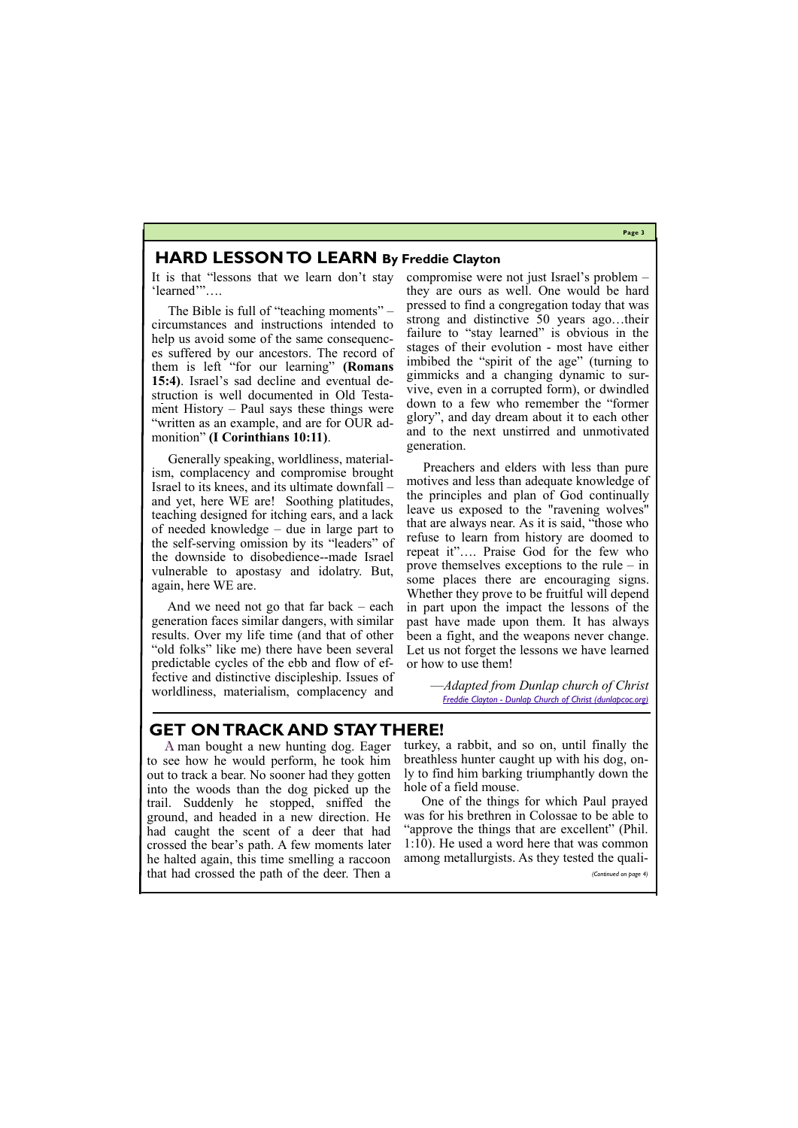**Page 3**

# **HARD LESSON TO LEARN By Freddie Clayton**

It is that "lessons that we learn don't stay 'learned'"….

 The Bible is full of "teaching moments" – circumstances and instructions intended to help us avoid some of the same consequences suffered by our ancestors. The record of them is left "for our learning" **(Romans 15:4)**. Israel's sad decline and eventual destruction is well documented in Old Testament History – Paul says these things were "written as an example, and are for OUR admonition" **(I Corinthians 10:11)**.

 Generally speaking, worldliness, materialism, complacency and compromise brought Israel to its knees, and its ultimate downfall – and yet, here WE are! Soothing platitudes, teaching designed for itching ears, and a lack of needed knowledge – due in large part to the self-serving omission by its "leaders" of the downside to disobedience--made Israel vulnerable to apostasy and idolatry. But, again, here WE are.

 And we need not go that far back – each generation faces similar dangers, with similar results. Over my life time (and that of other "old folks" like me) there have been several predictable cycles of the ebb and flow of effective and distinctive discipleship. Issues of worldliness, materialism, complacency and

compromise were not just Israel's problem – they are ours as well. One would be hard pressed to find a congregation today that was strong and distinctive 50 years ago…their failure to "stay learned" is obvious in the stages of their evolution - most have either imbibed the "spirit of the age" (turning to gimmicks and a changing dynamic to survive, even in a corrupted form), or dwindled down to a few who remember the "former glory", and day dream about it to each other and to the next unstirred and unmotivated generation.

 Preachers and elders with less than pure motives and less than adequate knowledge of the principles and plan of God continually leave us exposed to the "ravening wolves" that are always near. As it is said, "those who refuse to learn from history are doomed to repeat it"…. Praise God for the few who prove themselves exceptions to the rule – in some places there are encouraging signs. Whether they prove to be fruitful will depend in part upon the impact the lessons of the past have made upon them. It has always been a fight, and the weapons never change. Let us not forget the lessons we have learned or how to use them!

> —*Adapted from Dunlap church of Christ Freddie Clayton - [Dunlap Church of Christ \(dunlapcoc.org\)](https://www.dunlapcoc.org/freddie-clayton1.html)*

# **GET ON TRACK AND STAY THERE!**

A man bought a new hunting dog. Eager to see how he would perform, he took him out to track a bear. No sooner had they gotten into the woods than the dog picked up the trail. Suddenly he stopped, sniffed the ground, and headed in a new direction. He had caught the scent of a deer that had crossed the bear's path. A few moments later turkey, a rabbit, and so on, until finally the breathless hunter caught up with his dog, only to find him barking triumphantly down the hole of a field mouse.

he halted again, this time smelling a raccoon that had crossed the path of the deer. Then a among metallurgists. As they tested the quali- *(Continued on page 4)*

One of the things for which Paul prayed was for his brethren in Colossae to be able to "approve the things that are excellent" (Phil. 1:10). He used a word here that was common